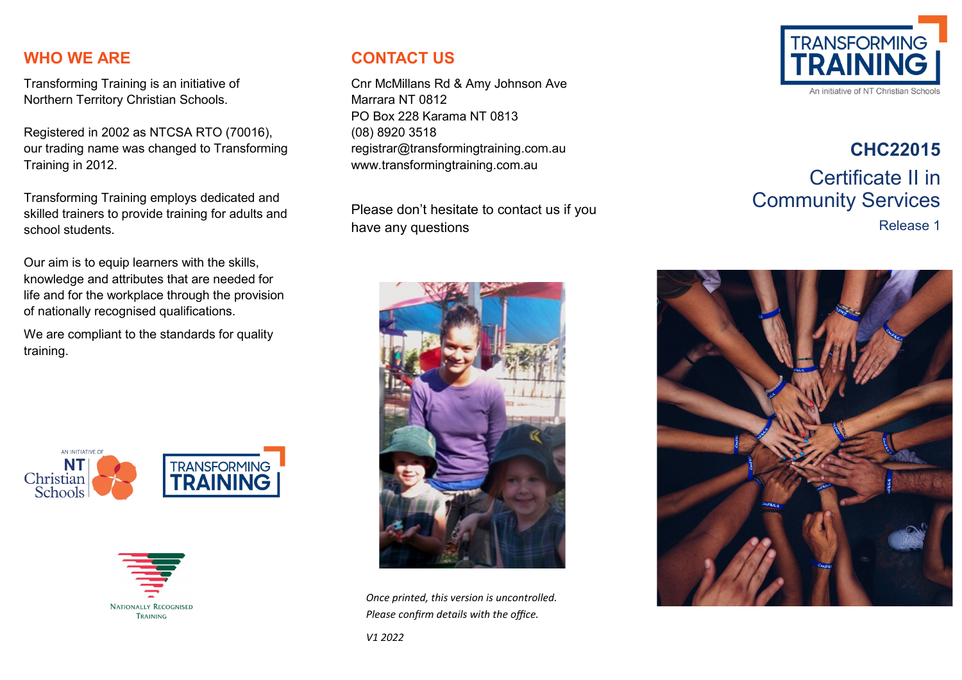#### **WHO WE ARE**

Transforming Training is an initiative of Northern Territory Christian Schools.

Registered in 2002 as NTCSA RTO (70016), our trading name was changed to Transforming Training in 2012.

Transforming Training employs dedicated and skilled trainers to provide training for adults and school students.

Our aim is to equip learners with the skills, knowledge and attributes that are needed for life and for the workplace through the provision of nationally recognised qualifications.

We are compliant to the standards for quality training.





#### **CONTACT US**

Cnr McMillans Rd & Amy Johnson Ave Marrara NT 0812 PO Box 228 Karama NT 0813 (08) 8920 3518 registrar@transformingtraining.com.au www.transformingtraining.com.au

Please don't hesitate to contact us if you have any questions



*Once printed, this version is uncontrolled. Please confirm details with the office.*



# **CHC22015** Certificate II in Community Services Release 1